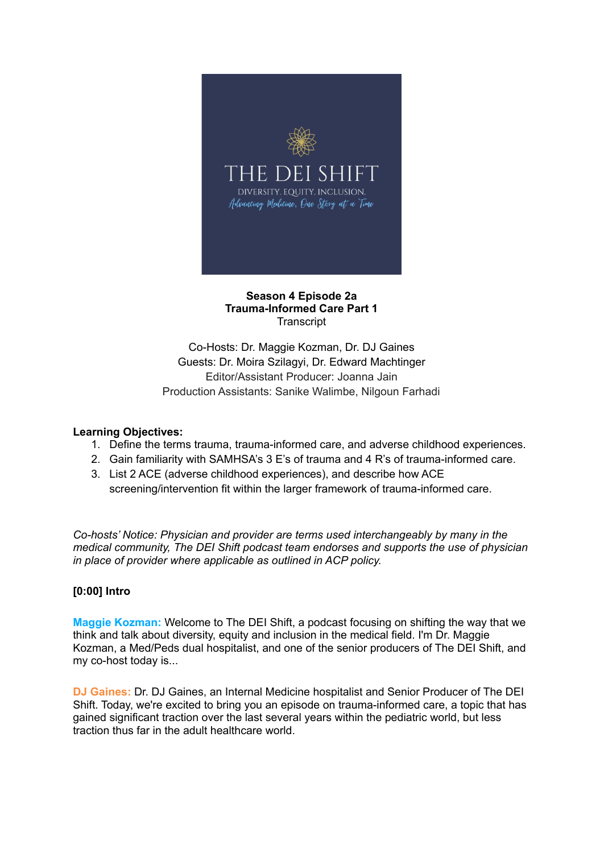

## **Season 4 Episode 2a Trauma-Informed Care Part 1 Transcript**

Co-Hosts: Dr. Maggie Kozman, Dr. DJ Gaines Guests: Dr. Moira Szilagyi, Dr. Edward Machtinger Editor/Assistant Producer: Joanna Jain Production Assistants: Sanike Walimbe, Nilgoun Farhadi

## **Learning Objectives:**

- 1. Define the terms trauma, trauma-informed care, and adverse childhood experiences.
- 2. Gain familiarity with SAMHSA's 3 E's of trauma and 4 R's of trauma-informed care.
- 3. List 2 ACE (adverse childhood experiences), and describe how ACE screening/intervention fit within the larger framework of trauma-informed care.

*Co-hosts' Notice: Physician and provider are terms used interchangeably by many in the medical community, The DEI Shift podcast team endorses and supports the use of physician in place of provider where applicable as outlined in ACP policy.*

# **[0:00] Intro**

**Maggie Kozman:** Welcome to The DEI Shift, a podcast focusing on shifting the way that we think and talk about diversity, equity and inclusion in the medical field. I'm Dr. Maggie Kozman, a Med/Peds dual hospitalist, and one of the senior producers of The DEI Shift, and my co-host today is...

**DJ Gaines:** Dr. DJ Gaines, an Internal Medicine hospitalist and Senior Producer of The DEI Shift. Today, we're excited to bring you an episode on trauma-informed care, a topic that has gained significant traction over the last several years within the pediatric world, but less traction thus far in the adult healthcare world.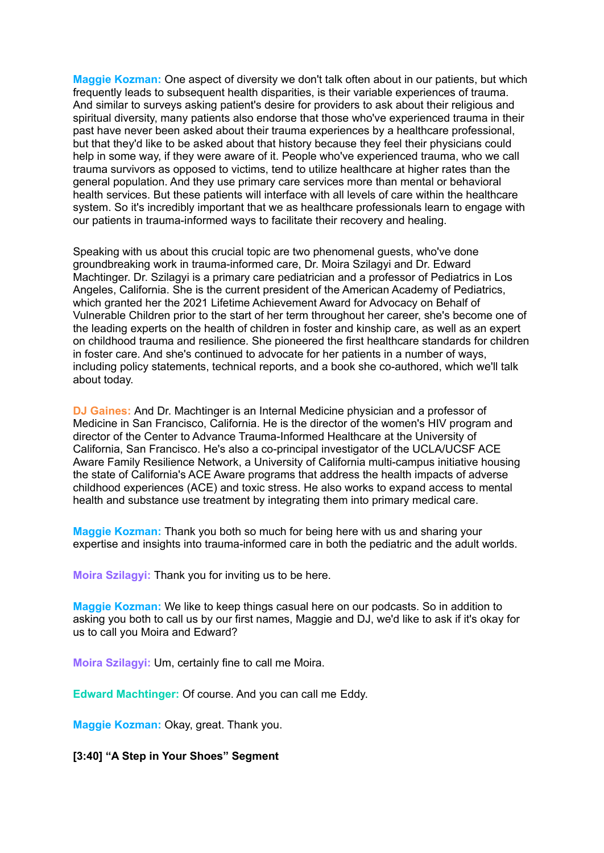**Maggie Kozman:** One aspect of diversity we don't talk often about in our patients, but which frequently leads to subsequent health disparities, is their variable experiences of trauma. And similar to surveys asking patient's desire for providers to ask about their religious and spiritual diversity, many patients also endorse that those who've experienced trauma in their past have never been asked about their trauma experiences by a healthcare professional, but that they'd like to be asked about that history because they feel their physicians could help in some way, if they were aware of it. People who've experienced trauma, who we call trauma survivors as opposed to victims, tend to utilize healthcare at higher rates than the general population. And they use primary care services more than mental or behavioral health services. But these patients will interface with all levels of care within the healthcare system. So it's incredibly important that we as healthcare professionals learn to engage with our patients in trauma-informed ways to facilitate their recovery and healing.

Speaking with us about this crucial topic are two phenomenal guests, who've done groundbreaking work in trauma-informed care, Dr. Moira Szilagyi and Dr. Edward Machtinger. Dr. Szilagyi is a primary care pediatrician and a professor of Pediatrics in Los Angeles, California. She is the current president of the American Academy of Pediatrics, which granted her the 2021 Lifetime Achievement Award for Advocacy on Behalf of Vulnerable Children prior to the start of her term throughout her career, she's become one of the leading experts on the health of children in foster and kinship care, as well as an expert on childhood trauma and resilience. She pioneered the first healthcare standards for children in foster care. And she's continued to advocate for her patients in a number of ways, including policy statements, technical reports, and a book she co-authored, which we'll talk about today.

**DJ Gaines:** And Dr. Machtinger is an Internal Medicine physician and a professor of Medicine in San Francisco, California. He is the director of the women's HIV program and director of the Center to Advance Trauma-Informed Healthcare at the University of California, San Francisco. He's also a co-principal investigator of the UCLA/UCSF ACE Aware Family Resilience Network, a University of California multi-campus initiative housing the state of California's ACE Aware programs that address the health impacts of adverse childhood experiences (ACE) and toxic stress. He also works to expand access to mental health and substance use treatment by integrating them into primary medical care.

**Maggie Kozman:** Thank you both so much for being here with us and sharing your expertise and insights into trauma-informed care in both the pediatric and the adult worlds.

**Moira Szilagyi:** Thank you for inviting us to be here.

**Maggie Kozman:** We like to keep things casual here on our podcasts. So in addition to asking you both to call us by our first names, Maggie and DJ, we'd like to ask if it's okay for us to call you Moira and Edward?

**Moira Szilagyi:** Um, certainly fine to call me Moira.

**Edward Machtinger:** Of course. And you can call me Eddy.

**Maggie Kozman:** Okay, great. Thank you.

**[3:40] "A Step in Your Shoes" Segment**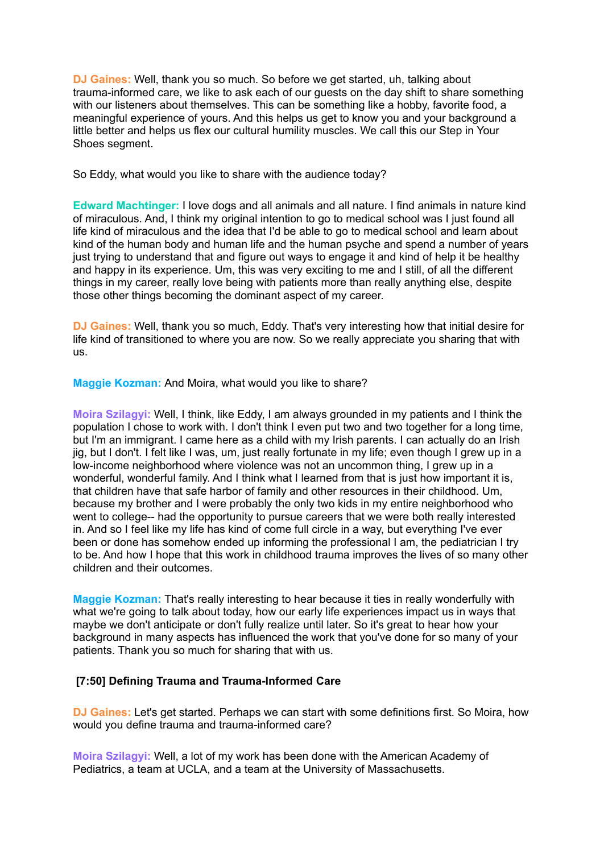**DJ Gaines:** Well, thank you so much. So before we get started, uh, talking about trauma-informed care, we like to ask each of our guests on the day shift to share something with our listeners about themselves. This can be something like a hobby, favorite food, a meaningful experience of yours. And this helps us get to know you and your background a little better and helps us flex our cultural humility muscles. We call this our Step in Your Shoes segment.

So Eddy, what would you like to share with the audience today?

**Edward Machtinger:** I love dogs and all animals and all nature. I find animals in nature kind of miraculous. And, I think my original intention to go to medical school was I just found all life kind of miraculous and the idea that I'd be able to go to medical school and learn about kind of the human body and human life and the human psyche and spend a number of years just trying to understand that and figure out ways to engage it and kind of help it be healthy and happy in its experience. Um, this was very exciting to me and I still, of all the different things in my career, really love being with patients more than really anything else, despite those other things becoming the dominant aspect of my career.

**DJ Gaines:** Well, thank you so much, Eddy. That's very interesting how that initial desire for life kind of transitioned to where you are now. So we really appreciate you sharing that with us.

**Maggie Kozman:** And Moira, what would you like to share?

**Moira Szilagyi:** Well, I think, like Eddy, I am always grounded in my patients and I think the population I chose to work with. I don't think I even put two and two together for a long time, but I'm an immigrant. I came here as a child with my Irish parents. I can actually do an Irish jig, but I don't. I felt like I was, um, just really fortunate in my life; even though I grew up in a low-income neighborhood where violence was not an uncommon thing, I grew up in a wonderful, wonderful family. And I think what I learned from that is just how important it is, that children have that safe harbor of family and other resources in their childhood. Um, because my brother and I were probably the only two kids in my entire neighborhood who went to college-- had the opportunity to pursue careers that we were both really interested in. And so I feel like my life has kind of come full circle in a way, but everything I've ever been or done has somehow ended up informing the professional I am, the pediatrician I try to be. And how I hope that this work in childhood trauma improves the lives of so many other children and their outcomes.

**Maggie Kozman:** That's really interesting to hear because it ties in really wonderfully with what we're going to talk about today, how our early life experiences impact us in ways that maybe we don't anticipate or don't fully realize until later. So it's great to hear how your background in many aspects has influenced the work that you've done for so many of your patients. Thank you so much for sharing that with us.

### **[7:50] Defining Trauma and Trauma-Informed Care**

**DJ Gaines:** Let's get started. Perhaps we can start with some definitions first. So Moira, how would you define trauma and trauma-informed care?

**Moira Szilagyi:** Well, a lot of my work has been done with the American Academy of Pediatrics, a team at UCLA, and a team at the University of Massachusetts.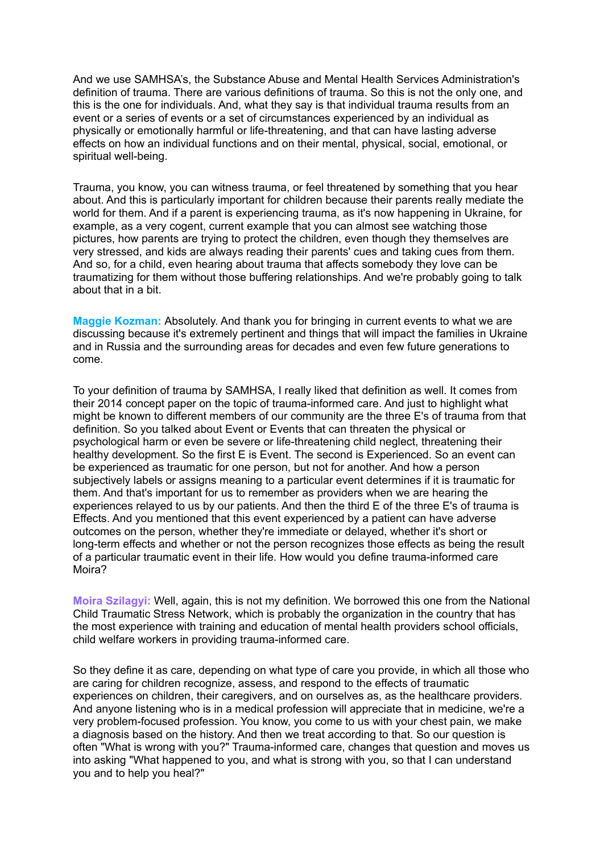And we use SAMHSA's, the Substance Abuse and Mental Health Services Administration's definition of trauma. There are various definitions of trauma. So this is not the only one, and this is the one for individuals. And, what they say is that individual trauma results from an event or a series of events or a set of circumstances experienced by an individual as physically or emotionally harmful or life-threatening, and that can have lasting adverse effects on how an individual functions and on their mental, physical, social, emotional, or spiritual well-being.

Trauma, you know, you can witness trauma, or feel threatened by something that you hear about. And this is particularly important for children because their parents really mediate the world for them. And if a parent is experiencing trauma, as it's now happening in Ukraine, for example, as a very cogent, current example that you can almost see watching those pictures, how parents are trying to protect the children, even though they themselves are very stressed, and kids are always reading their parents' cues and taking cues from them. And so, for a child, even hearing about trauma that affects somebody they love can be traumatizing for them without those buffering relationships. And we're probably going to talk about that in a bit.

**Maggie Kozman:** Absolutely. And thank you for bringing in current events to what we are discussing because it's extremely pertinent and things that will impact the families in Ukraine and in Russia and the surrounding areas for decades and even few future generations to come.

To your definition of trauma by SAMHSA, I really liked that definition as well. It comes from their 2014 concept paper on the topic of trauma-informed care. And just to highlight what might be known to different members of our community are the three E's of trauma from that definition. So you talked about Event or Events that can threaten the physical or psychological harm or even be severe or life-threatening child neglect, threatening their healthy development. So the first E is Event. The second is Experienced. So an event can be experienced as traumatic for one person, but not for another. And how a person subjectively labels or assigns meaning to a particular event determines if it is traumatic for them. And that's important for us to remember as providers when we are hearing the experiences relayed to us by our patients. And then the third E of the three E's of trauma is Effects. And you mentioned that this event experienced by a patient can have adverse outcomes on the person, whether they're immediate or delayed, whether it's short or long-term effects and whether or not the person recognizes those effects as being the result of a particular traumatic event in their life. How would you define trauma-informed care Moira?

**Moira Szilagyi:** Well, again, this is not my definition. We borrowed this one from the National Child Traumatic Stress Network, which is probably the organization in the country that has the most experience with training and education of mental health providers school officials, child welfare workers in providing trauma-informed care.

So they define it as care, depending on what type of care you provide, in which all those who are caring for children recognize, assess, and respond to the effects of traumatic experiences on children, their caregivers, and on ourselves as, as the healthcare providers. And anyone listening who is in a medical profession will appreciate that in medicine, we're a very problem-focused profession. You know, you come to us with your chest pain, we make a diagnosis based on the history. And then we treat according to that. So our question is often "What is wrong with you?" Trauma-informed care, changes that question and moves us into asking "What happened to you, and what is strong with you, so that I can understand you and to help you heal?"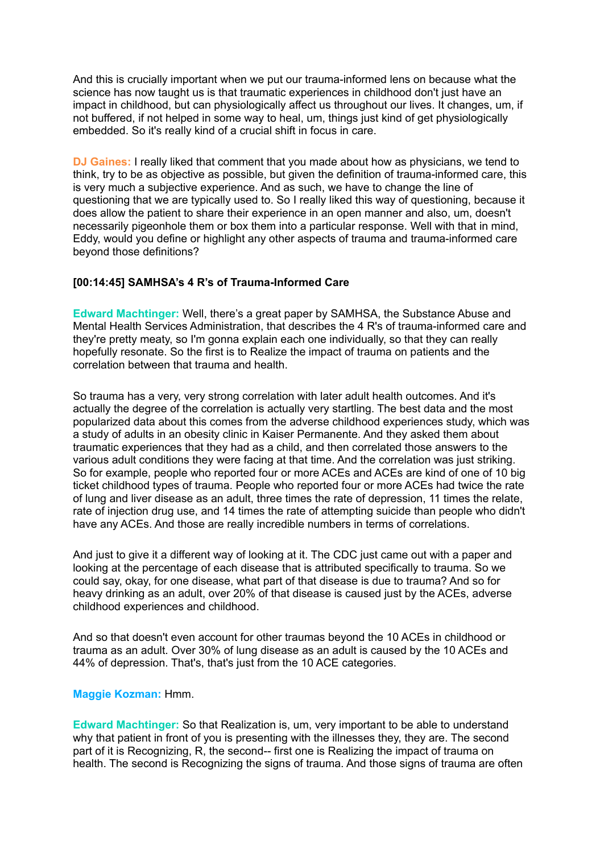And this is crucially important when we put our trauma-informed lens on because what the science has now taught us is that traumatic experiences in childhood don't just have an impact in childhood, but can physiologically affect us throughout our lives. It changes, um, if not buffered, if not helped in some way to heal, um, things just kind of get physiologically embedded. So it's really kind of a crucial shift in focus in care.

**DJ Gaines:** I really liked that comment that you made about how as physicians, we tend to think, try to be as objective as possible, but given the definition of trauma-informed care, this is very much a subjective experience. And as such, we have to change the line of questioning that we are typically used to. So I really liked this way of questioning, because it does allow the patient to share their experience in an open manner and also, um, doesn't necessarily pigeonhole them or box them into a particular response. Well with that in mind, Eddy, would you define or highlight any other aspects of trauma and trauma-informed care beyond those definitions?

### **[00:14:45] SAMHSA's 4 R's of Trauma-Informed Care**

**Edward Machtinger:** Well, there's a great paper by SAMHSA, the Substance Abuse and Mental Health Services Administration, that describes the 4 R's of trauma-informed care and they're pretty meaty, so I'm gonna explain each one individually, so that they can really hopefully resonate. So the first is to Realize the impact of trauma on patients and the correlation between that trauma and health.

So trauma has a very, very strong correlation with later adult health outcomes. And it's actually the degree of the correlation is actually very startling. The best data and the most popularized data about this comes from the adverse childhood experiences study, which was a study of adults in an obesity clinic in Kaiser Permanente. And they asked them about traumatic experiences that they had as a child, and then correlated those answers to the various adult conditions they were facing at that time. And the correlation was just striking. So for example, people who reported four or more ACEs and ACEs are kind of one of 10 big ticket childhood types of trauma. People who reported four or more ACEs had twice the rate of lung and liver disease as an adult, three times the rate of depression, 11 times the relate, rate of injection drug use, and 14 times the rate of attempting suicide than people who didn't have any ACEs. And those are really incredible numbers in terms of correlations.

And just to give it a different way of looking at it. The CDC just came out with a paper and looking at the percentage of each disease that is attributed specifically to trauma. So we could say, okay, for one disease, what part of that disease is due to trauma? And so for heavy drinking as an adult, over 20% of that disease is caused just by the ACEs, adverse childhood experiences and childhood.

And so that doesn't even account for other traumas beyond the 10 ACEs in childhood or trauma as an adult. Over 30% of lung disease as an adult is caused by the 10 ACEs and 44% of depression. That's, that's just from the 10 ACE categories.

#### **Maggie Kozman:** Hmm.

**Edward Machtinger:** So that Realization is, um, very important to be able to understand why that patient in front of you is presenting with the illnesses they, they are. The second part of it is Recognizing, R, the second-- first one is Realizing the impact of trauma on health. The second is Recognizing the signs of trauma. And those signs of trauma are often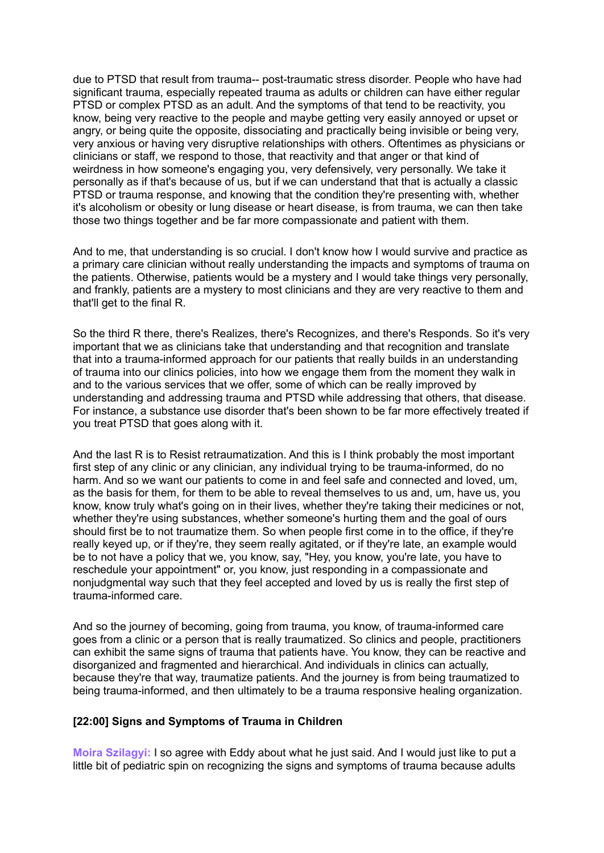due to PTSD that result from trauma-- post-traumatic stress disorder. People who have had significant trauma, especially repeated trauma as adults or children can have either regular PTSD or complex PTSD as an adult. And the symptoms of that tend to be reactivity, you know, being very reactive to the people and maybe getting very easily annoyed or upset or angry, or being quite the opposite, dissociating and practically being invisible or being very, very anxious or having very disruptive relationships with others. Oftentimes as physicians or clinicians or staff, we respond to those, that reactivity and that anger or that kind of weirdness in how someone's engaging you, very defensively, very personally. We take it personally as if that's because of us, but if we can understand that that is actually a classic PTSD or trauma response, and knowing that the condition they're presenting with, whether it's alcoholism or obesity or lung disease or heart disease, is from trauma, we can then take those two things together and be far more compassionate and patient with them.

And to me, that understanding is so crucial. I don't know how I would survive and practice as a primary care clinician without really understanding the impacts and symptoms of trauma on the patients. Otherwise, patients would be a mystery and I would take things very personally, and frankly, patients are a mystery to most clinicians and they are very reactive to them and that'll get to the final R.

So the third R there, there's Realizes, there's Recognizes, and there's Responds. So it's very important that we as clinicians take that understanding and that recognition and translate that into a trauma-informed approach for our patients that really builds in an understanding of trauma into our clinics policies, into how we engage them from the moment they walk in and to the various services that we offer, some of which can be really improved by understanding and addressing trauma and PTSD while addressing that others, that disease. For instance, a substance use disorder that's been shown to be far more effectively treated if you treat PTSD that goes along with it.

And the last R is to Resist retraumatization. And this is I think probably the most important first step of any clinic or any clinician, any individual trying to be trauma-informed, do no harm. And so we want our patients to come in and feel safe and connected and loved, um, as the basis for them, for them to be able to reveal themselves to us and, um, have us, you know, know truly what's going on in their lives, whether they're taking their medicines or not, whether they're using substances, whether someone's hurting them and the goal of ours should first be to not traumatize them. So when people first come in to the office, if they're really keyed up, or if they're, they seem really agitated, or if they're late, an example would be to not have a policy that we, you know, say, "Hey, you know, you're late, you have to reschedule your appointment" or, you know, just responding in a compassionate and nonjudgmental way such that they feel accepted and loved by us is really the first step of trauma-informed care.

And so the journey of becoming, going from trauma, you know, of trauma-informed care goes from a clinic or a person that is really traumatized. So clinics and people, practitioners can exhibit the same signs of trauma that patients have. You know, they can be reactive and disorganized and fragmented and hierarchical. And individuals in clinics can actually, because they're that way, traumatize patients. And the journey is from being traumatized to being trauma-informed, and then ultimately to be a trauma responsive healing organization.

### **[22:00] Signs and Symptoms of Trauma in Children**

**Moira Szilagyi:** I so agree with Eddy about what he just said. And I would just like to put a little bit of pediatric spin on recognizing the signs and symptoms of trauma because adults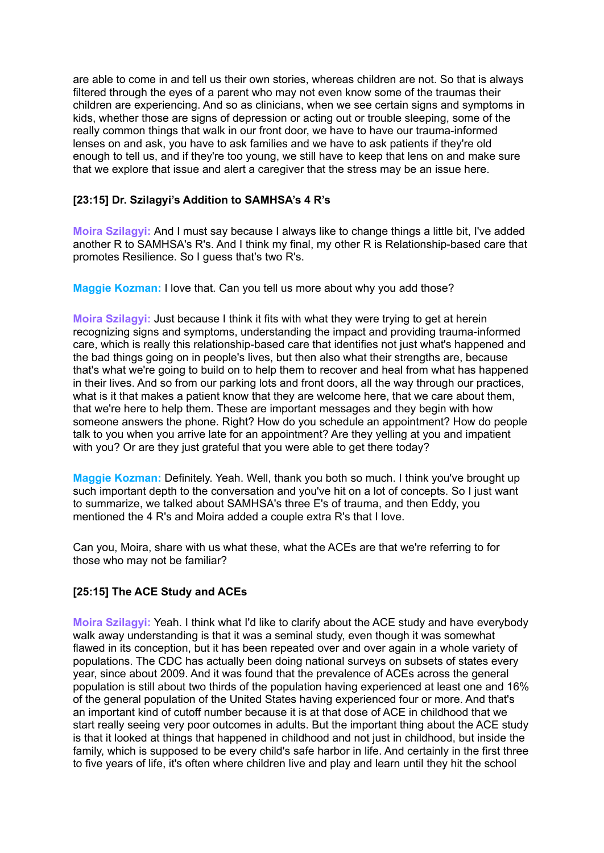are able to come in and tell us their own stories, whereas children are not. So that is always filtered through the eyes of a parent who may not even know some of the traumas their children are experiencing. And so as clinicians, when we see certain signs and symptoms in kids, whether those are signs of depression or acting out or trouble sleeping, some of the really common things that walk in our front door, we have to have our trauma-informed lenses on and ask, you have to ask families and we have to ask patients if they're old enough to tell us, and if they're too young, we still have to keep that lens on and make sure that we explore that issue and alert a caregiver that the stress may be an issue here.

## **[23:15] Dr. Szilagyi's Addition to SAMHSA's 4 R's**

**Moira Szilagyi:** And I must say because I always like to change things a little bit, I've added another R to SAMHSA's R's. And I think my final, my other R is Relationship-based care that promotes Resilience. So I guess that's two R's.

**Maggie Kozman:** I love that. Can you tell us more about why you add those?

**Moira Szilagyi:** Just because I think it fits with what they were trying to get at herein recognizing signs and symptoms, understanding the impact and providing trauma-informed care, which is really this relationship-based care that identifies not just what's happened and the bad things going on in people's lives, but then also what their strengths are, because that's what we're going to build on to help them to recover and heal from what has happened in their lives. And so from our parking lots and front doors, all the way through our practices, what is it that makes a patient know that they are welcome here, that we care about them, that we're here to help them. These are important messages and they begin with how someone answers the phone. Right? How do you schedule an appointment? How do people talk to you when you arrive late for an appointment? Are they yelling at you and impatient with you? Or are they just grateful that you were able to get there today?

**Maggie Kozman:** Definitely. Yeah. Well, thank you both so much. I think you've brought up such important depth to the conversation and you've hit on a lot of concepts. So I just want to summarize, we talked about SAMHSA's three E's of trauma, and then Eddy, you mentioned the 4 R's and Moira added a couple extra R's that I love.

Can you, Moira, share with us what these, what the ACEs are that we're referring to for those who may not be familiar?

## **[25:15] The ACE Study and ACEs**

**Moira Szilagyi:** Yeah. I think what I'd like to clarify about the ACE study and have everybody walk away understanding is that it was a seminal study, even though it was somewhat flawed in its conception, but it has been repeated over and over again in a whole variety of populations. The CDC has actually been doing national surveys on subsets of states every year, since about 2009. And it was found that the prevalence of ACEs across the general population is still about two thirds of the population having experienced at least one and 16% of the general population of the United States having experienced four or more. And that's an important kind of cutoff number because it is at that dose of ACE in childhood that we start really seeing very poor outcomes in adults. But the important thing about the ACE study is that it looked at things that happened in childhood and not just in childhood, but inside the family, which is supposed to be every child's safe harbor in life. And certainly in the first three to five years of life, it's often where children live and play and learn until they hit the school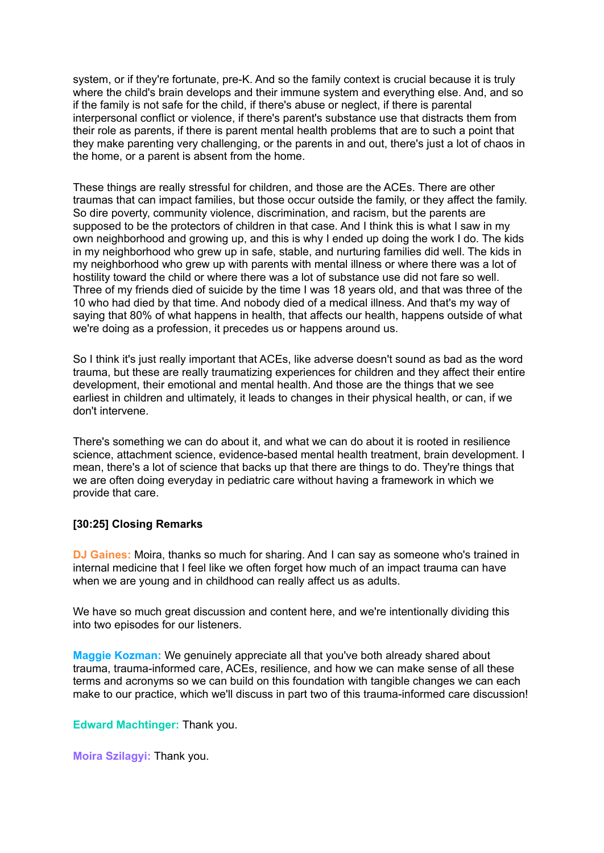system, or if they're fortunate, pre-K. And so the family context is crucial because it is truly where the child's brain develops and their immune system and everything else. And, and so if the family is not safe for the child, if there's abuse or neglect, if there is parental interpersonal conflict or violence, if there's parent's substance use that distracts them from their role as parents, if there is parent mental health problems that are to such a point that they make parenting very challenging, or the parents in and out, there's just a lot of chaos in the home, or a parent is absent from the home.

These things are really stressful for children, and those are the ACEs. There are other traumas that can impact families, but those occur outside the family, or they affect the family. So dire poverty, community violence, discrimination, and racism, but the parents are supposed to be the protectors of children in that case. And I think this is what I saw in my own neighborhood and growing up, and this is why I ended up doing the work I do. The kids in my neighborhood who grew up in safe, stable, and nurturing families did well. The kids in my neighborhood who grew up with parents with mental illness or where there was a lot of hostility toward the child or where there was a lot of substance use did not fare so well. Three of my friends died of suicide by the time I was 18 years old, and that was three of the 10 who had died by that time. And nobody died of a medical illness. And that's my way of saying that 80% of what happens in health, that affects our health, happens outside of what we're doing as a profession, it precedes us or happens around us.

So I think it's just really important that ACEs, like adverse doesn't sound as bad as the word trauma, but these are really traumatizing experiences for children and they affect their entire development, their emotional and mental health. And those are the things that we see earliest in children and ultimately, it leads to changes in their physical health, or can, if we don't intervene.

There's something we can do about it, and what we can do about it is rooted in resilience science, attachment science, evidence-based mental health treatment, brain development. I mean, there's a lot of science that backs up that there are things to do. They're things that we are often doing everyday in pediatric care without having a framework in which we provide that care.

### **[30:25] Closing Remarks**

**DJ Gaines:** Moira, thanks so much for sharing. And I can say as someone who's trained in internal medicine that I feel like we often forget how much of an impact trauma can have when we are young and in childhood can really affect us as adults.

We have so much great discussion and content here, and we're intentionally dividing this into two episodes for our listeners.

**Maggie Kozman:** We genuinely appreciate all that you've both already shared about trauma, trauma-informed care, ACEs, resilience, and how we can make sense of all these terms and acronyms so we can build on this foundation with tangible changes we can each make to our practice, which we'll discuss in part two of this trauma-informed care discussion!

**Edward Machtinger:** Thank you.

**Moira Szilagyi:** Thank you.